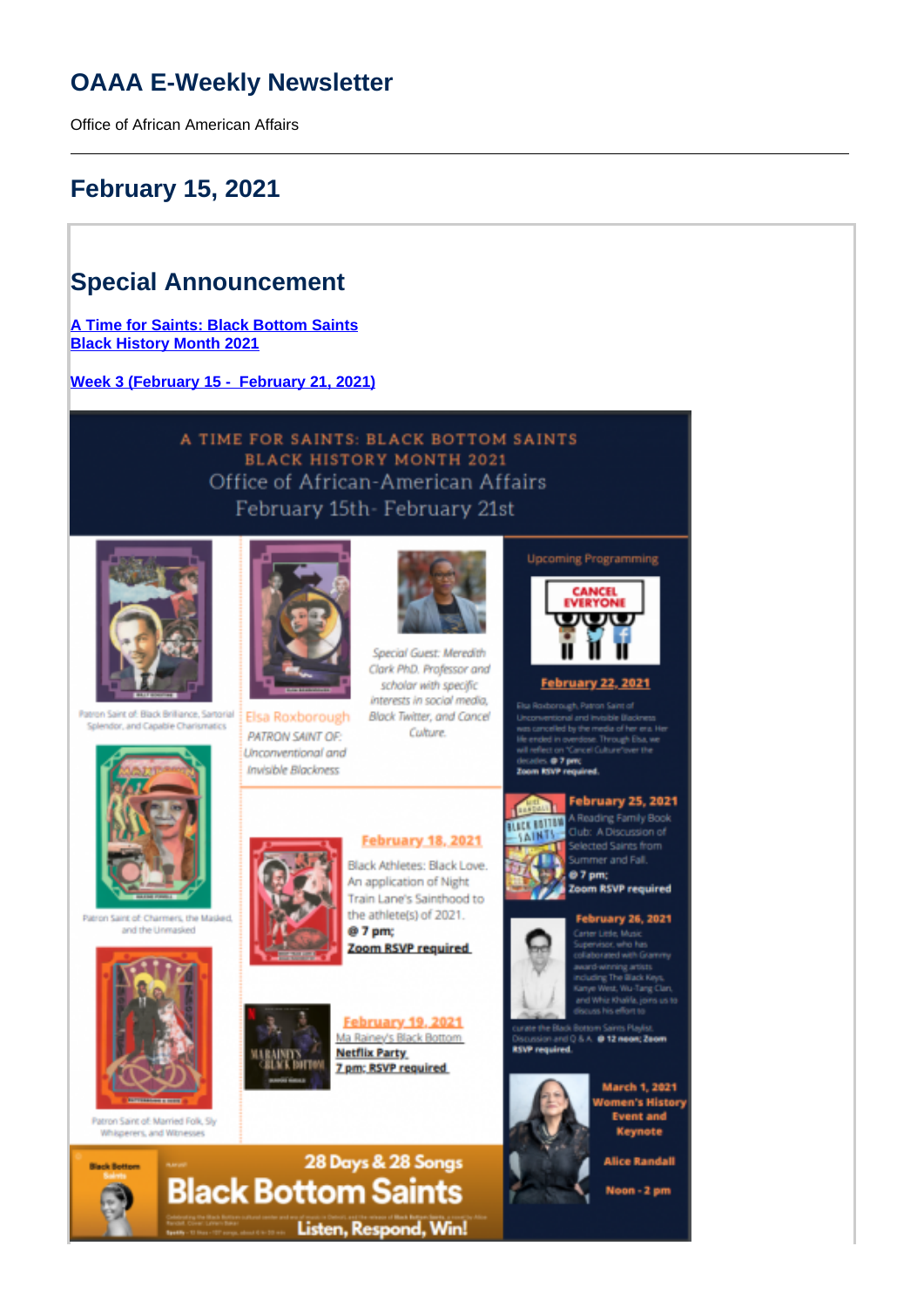# **OAAA E-Weekly Newsletter**

Office of African American Affairs

# **February 15, 2021**

# **Special Announcement**

**[A Time for Saints: Black Bottom Saints](https://oaaa.virginia.edu/sites/oaaa2017.virginia.edu/files/A%20Time%20for%20Saints_%20Black%20Bottom%20Saints%202021%20Highlights%20%284%29.pdf) [Black History Month 2021](https://oaaa.virginia.edu/sites/oaaa2017.virginia.edu/files/A%20Time%20for%20Saints_%20Black%20Bottom%20Saints%202021%20Highlights%20%284%29.pdf)**

**Week 3 (February 15 - February 21, 2021)**

### A TIME FOR SAINTS: BLACK BOTTOM SAINTS **BLACK HISTORY MONTH 2021** Office of African-American Affairs February 15th- February 21st



Patron Saint of: Black Brilliance, Sartorial Splendor, and Capable Charismatics



Patron Saint of: Charmers, the Masked and the Unmasked



Patron Saint of: Married Folk, Sly Whisperers, and Witness



Elsa Roxborough PATRON SAINT OF: Unconventional and Invisible Blackness



Special Guest: Meredith Clark PhD. Professor and scholar with specific interests in social media, Black Twitter, and Cancel Culture.

**February 18, 2021** 

Black Athletes: Black Love.

Train Lane's Sainthood to the athlete(s) of 2021.

An application of Night

Zoom RSVP required

February 19, 2021 Ma Rainey's Black Bottom

7 pm: RSVP required

@ 7 pm;

**Netflix Party** 





#### **February 22, 2021**

onal and invisible (ii) d by the m dase. Through Elsa, we 07pm



**February 25, 2021** A Reading Family Book Club: A Discussion of Selected Saints from Summer and Fall 07 pm;

**Zoom RSVP required** 

#### **February 26, 2021**



er Liete, Music

on and Q & A @ 12 neon; Zeom **RSVP** required





**Alice Randall** 

Noon - 2 pm





机制度

**BIFTON**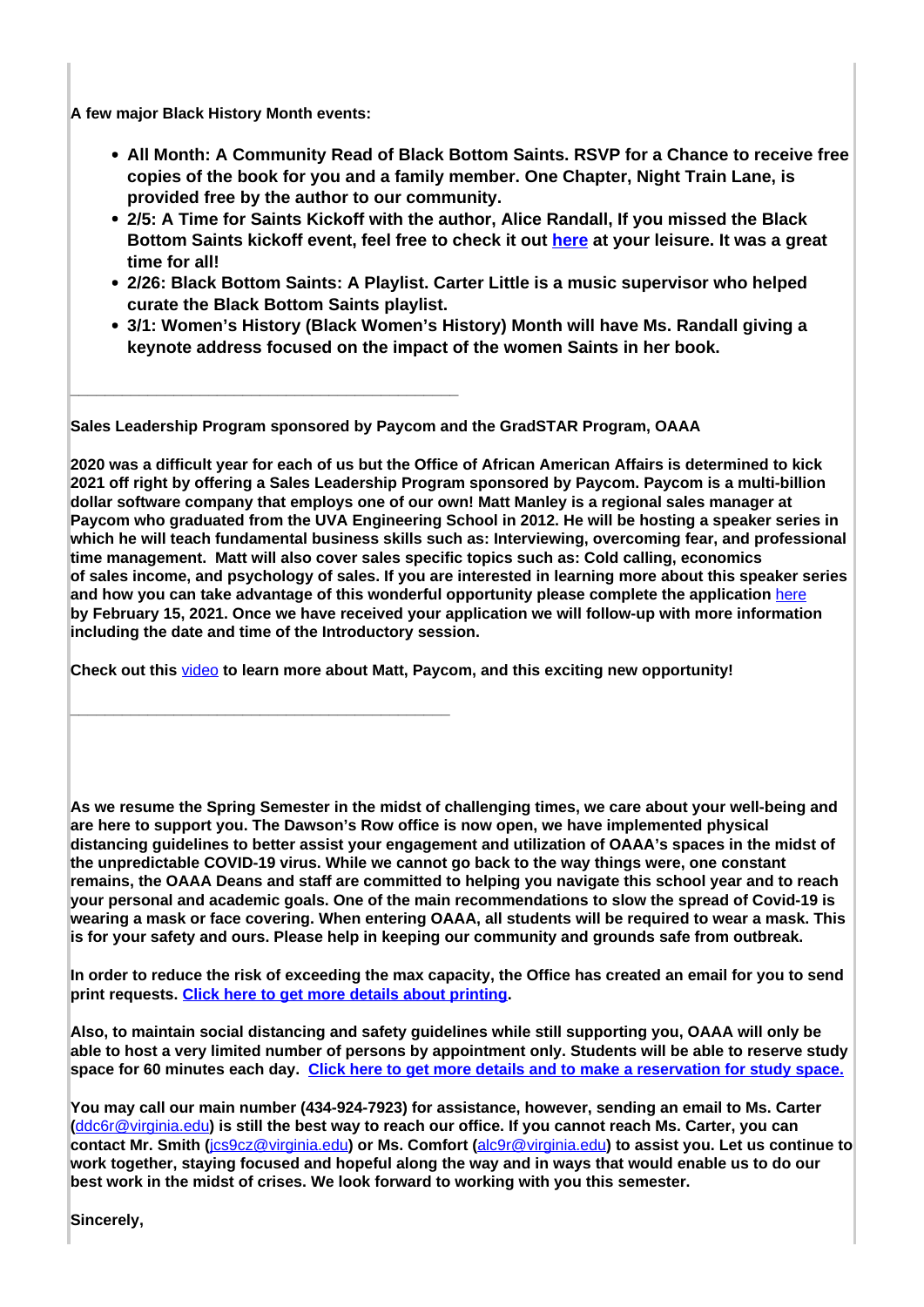**A few major Black History Month events:** 

**\_\_\_\_\_\_\_\_\_\_\_\_\_\_\_\_\_\_\_\_\_\_\_\_\_\_\_\_\_\_\_\_\_\_\_\_\_\_\_\_\_\_\_\_\_**

**\_\_\_\_\_\_\_\_\_\_\_\_\_\_\_\_\_\_\_\_\_\_\_\_\_\_\_\_\_\_\_\_\_\_\_\_\_\_\_\_\_\_\_\_**

- **All Month: A Community Read of Black Bottom Saints. RSVP for a Chance to receive free copies of the book for you and a family member. One Chapter, Night Train Lane, is provided free by the author to our community.**
- **2/5: A Time for Saints Kickoff with the author, Alice Randall, If you missed the Black Bottom Saints kickoff event, feel free to check it out here at your leisure. It was a great time for all!**
- **2/26: Black Bottom Saints: A Playlist. Carter Little is a music supervisor who helped curate the Black Bottom Saints playlist.**
- **3/1: Women's History (Black Women's History) Month will have Ms. Randall giving a keynote address focused on the impact of the women Saints in her book.**

**Sales Leadership Program sponsored by Paycom and the GradSTAR Program, OAAA**

**2020 was a difficult year for each of us but the Office of African American Affairs is determined to kick 2021 off right by offering a Sales Leadership Program sponsored by Paycom. Paycom is a multi-billion dollar software company that employs one of our own! Matt Manley is a regional sales manager at Paycom who graduated from the UVA Engineering School in 2012. He will be hosting a speaker series in which he will teach fundamental business skills such as: Interviewing, overcoming fear, and professional time management. Matt will also cover sales specific topics such as: Cold calling, economics of sales income, and psychology of sales. If you are interested in learning more about this speaker series** and how you can take advantage of this wonderful opportunity please complete the application **here by February 15, 2021. Once we have received your application we will follow-up with more information including the date and time of the Introductory session.**

**Check out this** video **to learn more about Matt, Paycom, and this exciting new opportunity!**

**As we resume the Spring Semester in the midst of challenging times, we care about your well-being and are here to support you. The Dawson's Row office is now open, we have implemented physical distancing guidelines to better assist your engagement and utilization of OAAA's spaces in the midst of the unpredictable COVID-19 virus. While we cannot go back to the way things were, one constant remains, the OAAA Deans and staff are committed to helping you navigate this school year and to reach your personal and academic goals. One of the main recommendations to slow the spread of Covid-19 is wearing a mask or face covering. When entering OAAA, all students will be required to wear a mask. This is for your safety and ours. Please help in keeping our community and grounds safe from outbreak.**

**In order to reduce the risk of exceeding the max capacity, the Office has created an email for you to send print requests. Click here to get more details about printing.**

**Also, to maintain social distancing and safety guidelines while still supporting you, OAAA will only be able to host a very limited number of persons by appointment only. Students will be able to reserve study space for 60 minutes each day. Click here to get more details and to make a reservation for study space.**

**You may call our main number (434-924-7923) for assistance, however, sending an email to Ms. Carter (**ddc6r@virginia.edu**) is still the best way to reach our office. If you cannot reach Ms. Carter, you can contact Mr. Smith (**jcs9cz@virginia.edu**) or Ms. Comfort (**alc9r@virginia.edu**) to assist you. Let us continue to work together, staying focused and hopeful along the way and in ways that would enable us to do our best work in the midst of crises. We look forward to working with you this semester.**

**Sincerely,**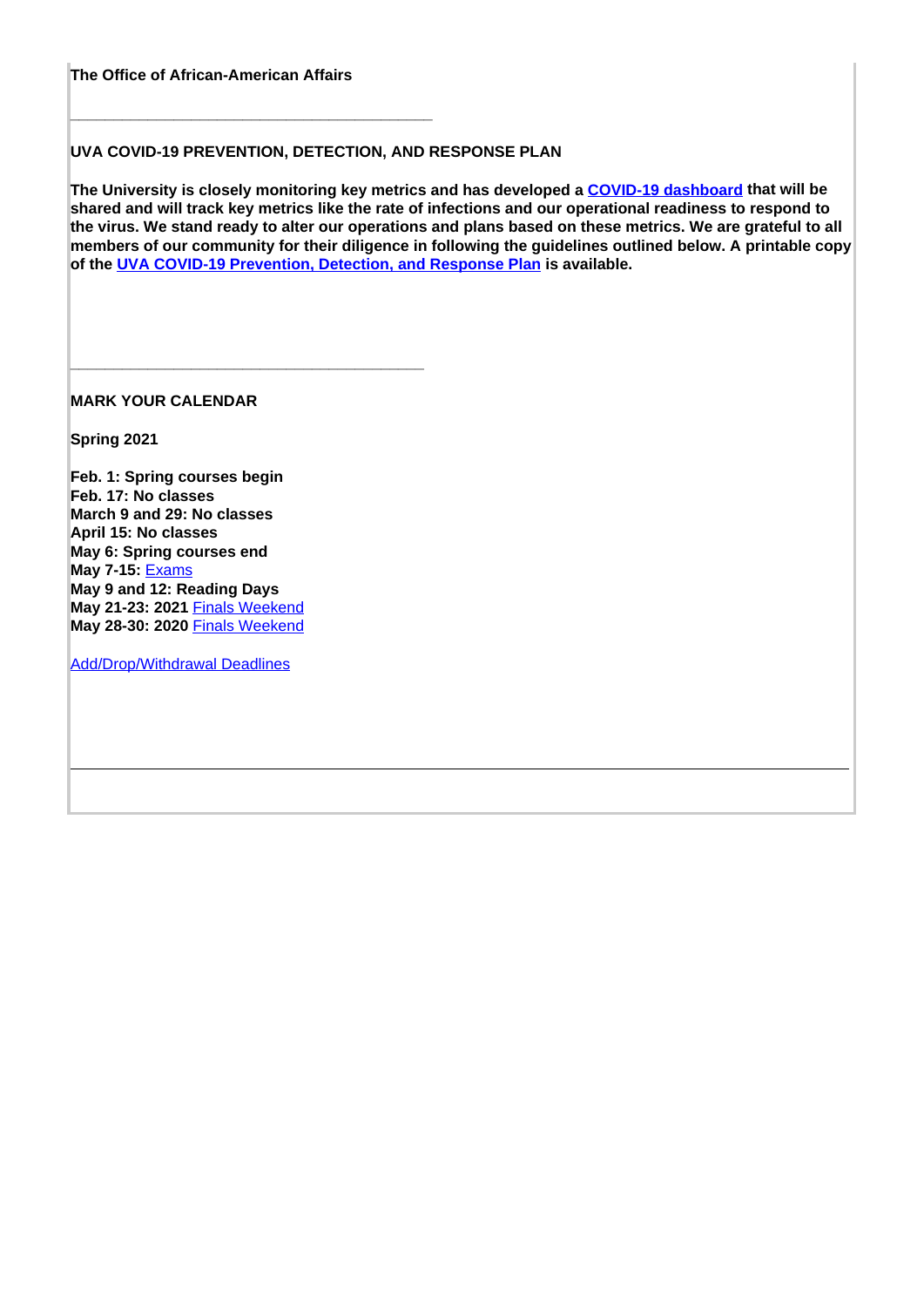**The Office of African-American Affairs**

**\_\_\_\_\_\_\_\_\_\_\_\_\_\_\_\_\_\_\_\_\_\_\_\_\_\_\_\_\_\_\_\_\_\_\_\_\_\_\_\_\_\_**

**\_\_\_\_\_\_\_\_\_\_\_\_\_\_\_\_\_\_\_\_\_\_\_\_\_\_\_\_\_\_\_\_\_\_\_\_\_\_\_\_\_**

### **UVA COVID-19 PREVENTION, DETECTION, AND RESPONSE PLAN**

**The University is closely monitoring key metrics and has developed a COVID-19 dashboard that will be shared and will track key metrics like the rate of infections and our operational readiness to respond to the virus. We stand ready to alter our operations and plans based on these metrics. We are grateful to all members of our community for their diligence in following the guidelines outlined below. A printable copy of the UVA COVID-19 Prevention, Detection, and Response Plan is available.**

**MARK YOUR CALENDAR**

**Spring 2021**

**Feb. 1: Spring courses begin Feb. 17: No classes March 9 and 29: No classes April 15: No classes May 6: Spring courses end May 7-15:** Exams **May 9 and 12: Reading Days May 21-23: 2021** Finals Weekend **May 28-30: 2020** Finals Weekend

Add/Drop/Withdrawal Deadlines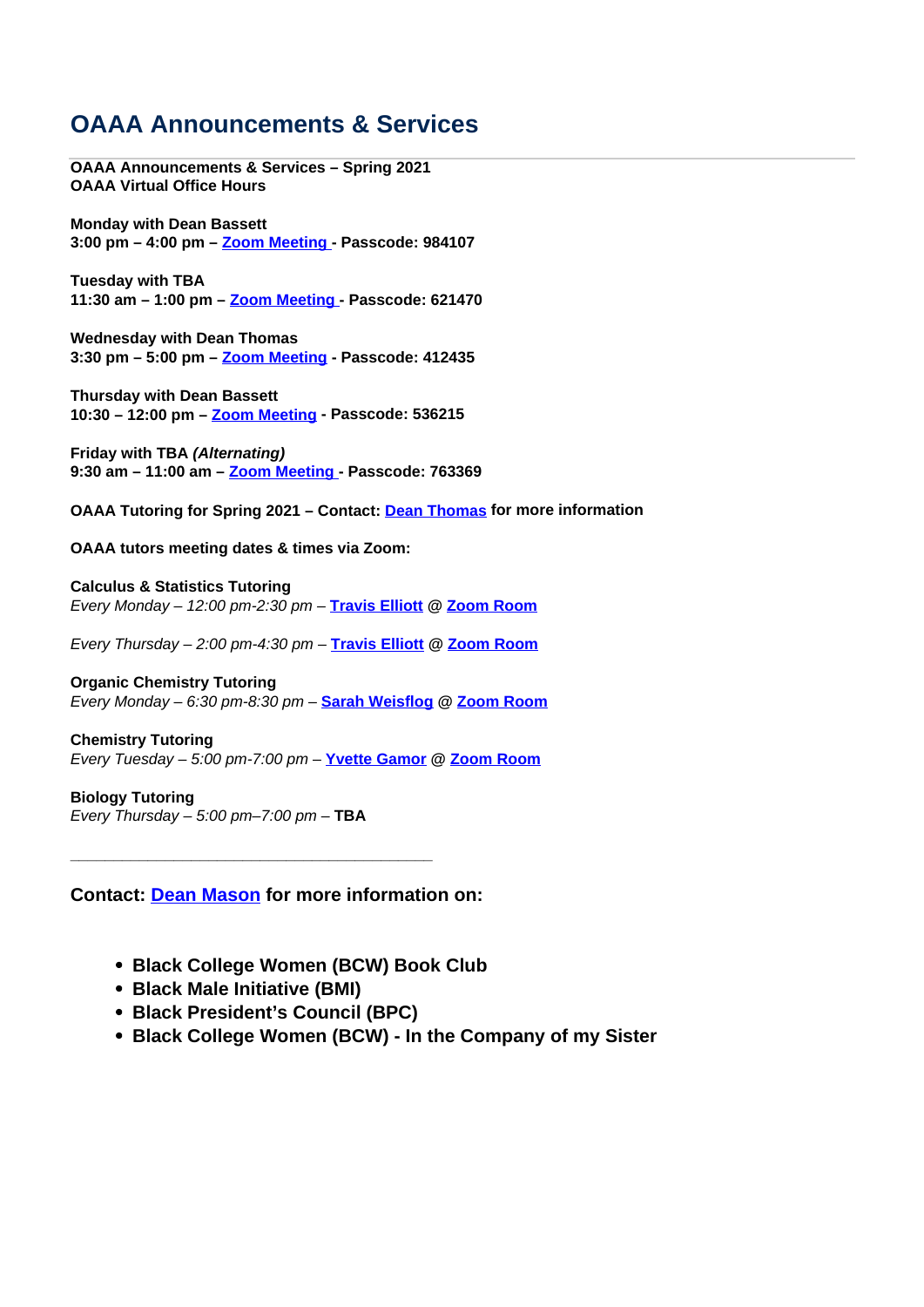# **OAAA Announcements & Services**

**OAAA Announcements & Services – Spring 2021 OAAA Virtual Office Hours**

**Monday with Dean Bassett 3:00 pm – 4:00 pm – Zoom Meeting - Passcode: 984107**

**Tuesday with TBA 11:30 am – 1:00 pm – Zoom Meeting - Passcode: 621470**

**Wednesday with Dean Thomas 3:30 pm – 5:00 pm – Zoom Meeting - Passcode: 412435**

**Thursday with Dean Bassett 10:30 – 12:00 pm – Zoom Meeting - Passcode: 536215**

**Friday with TBA (Alternating) 9:30 am – 11:00 am – Zoom Meeting - Passcode: 763369**

**OAAA Tutoring for Spring 2021 – Contact: Dean Thomas for more information**

**OAAA tutors meeting dates & times via Zoom:** 

**Calculus & Statistics Tutoring** Every Monday – 12:00 pm-2:30 pm – **Travis Elliott @ Zoom Room**

Every Thursday – 2:00 pm-4:30 pm – **Travis Elliott @ Zoom Room**

**Organic Chemistry Tutoring** Every Monday – 6:30 pm-8:30 pm – **Sarah Weisflog @ Zoom Room**

**Chemistry Tutoring** Every Tuesday – 5:00 pm-7:00 pm – **Yvette Gamor @ Zoom Room**

**Biology Tutoring** Every Thursday – 5:00 pm–7:00 pm – **TBA**

**Contact: Dean Mason for more information on:** 

**\_\_\_\_\_\_\_\_\_\_\_\_\_\_\_\_\_\_\_\_\_\_\_\_\_\_\_\_\_\_\_\_\_\_\_\_\_\_\_\_\_\_**

- **Black College Women (BCW) Book Club**
- **Black Male Initiative (BMI)**
- **Black President's Council (BPC)**
- **Black College Women (BCW) In the Company of my Sister**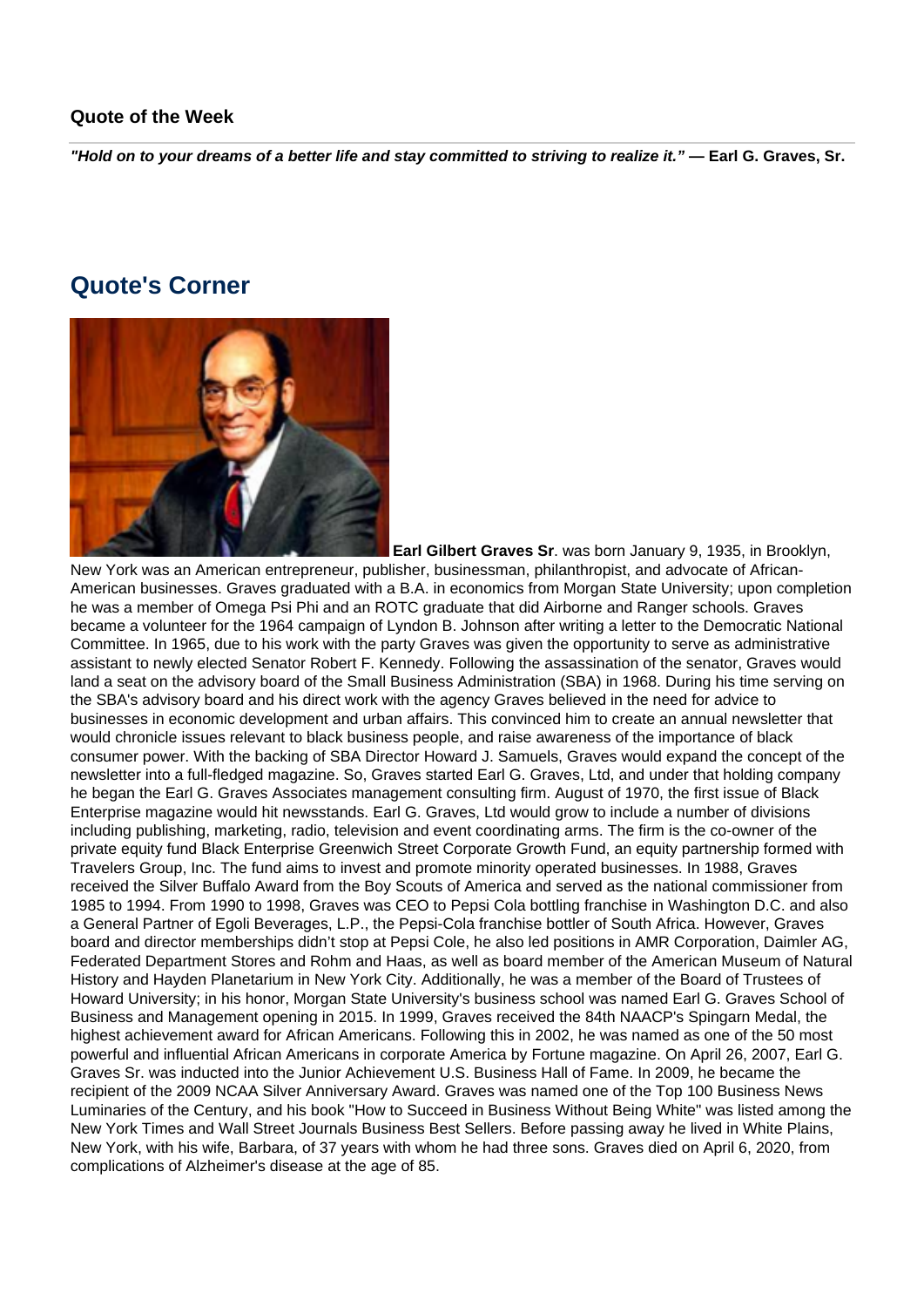### **Quote of the Week**

**"Hold on to your dreams of a better life and stay committed to striving to realize it." — Earl G. Graves, Sr.**

## **Quote's Corner**



**Earl Gilbert Graves Sr**. was born January 9, 1935, in Brooklyn, New York was an American entrepreneur, publisher, businessman, philanthropist, and advocate of African-American businesses. Graves graduated with a B.A. in economics from Morgan State University; upon completion he was a member of Omega Psi Phi and an ROTC graduate that did Airborne and Ranger schools. Graves became a volunteer for the 1964 campaign of Lyndon B. Johnson after writing a letter to the Democratic National Committee. In 1965, due to his work with the party Graves was given the opportunity to serve as administrative assistant to newly elected Senator Robert F. Kennedy. Following the assassination of the senator, Graves would land a seat on the advisory board of the Small Business Administration (SBA) in 1968. During his time serving on the SBA's advisory board and his direct work with the agency Graves believed in the need for advice to businesses in economic development and urban affairs. This convinced him to create an annual newsletter that would chronicle issues relevant to black business people, and raise awareness of the importance of black consumer power. With the backing of SBA Director Howard J. Samuels, Graves would expand the concept of the newsletter into a full-fledged magazine. So, Graves started Earl G. Graves, Ltd, and under that holding company he began the Earl G. Graves Associates management consulting firm. August of 1970, the first issue of Black Enterprise magazine would hit newsstands. Earl G. Graves, Ltd would grow to include a number of divisions including publishing, marketing, radio, television and event coordinating arms. The firm is the co-owner of the private equity fund Black Enterprise Greenwich Street Corporate Growth Fund, an equity partnership formed with Travelers Group, Inc. The fund aims to invest and promote minority operated businesses. In 1988, Graves received the Silver Buffalo Award from the Boy Scouts of America and served as the national commissioner from 1985 to 1994. From 1990 to 1998, Graves was CEO to Pepsi Cola bottling franchise in Washington D.C. and also a General Partner of Egoli Beverages, L.P., the Pepsi-Cola franchise bottler of South Africa. However, Graves board and director memberships didn't stop at Pepsi Cole, he also led positions in AMR Corporation, Daimler AG, Federated Department Stores and Rohm and Haas, as well as board member of the American Museum of Natural History and Hayden Planetarium in New York City. Additionally, he was a member of the Board of Trustees of Howard University; in his honor, Morgan State University's business school was named Earl G. Graves School of Business and Management opening in 2015. In 1999, Graves received the 84th NAACP's Spingarn Medal, the highest achievement award for African Americans. Following this in 2002, he was named as one of the 50 most powerful and influential African Americans in corporate America by Fortune magazine. On April 26, 2007, Earl G. Graves Sr. was inducted into the Junior Achievement U.S. Business Hall of Fame. In 2009, he became the recipient of the 2009 NCAA Silver Anniversary Award. Graves was named one of the Top 100 Business News Luminaries of the Century, and his book "How to Succeed in Business Without Being White" was listed among the New York Times and Wall Street Journals Business Best Sellers. Before passing away he lived in White Plains, New York, with his wife, Barbara, of 37 years with whom he had three sons. Graves died on April 6, 2020, from complications of Alzheimer's disease at the age of 85.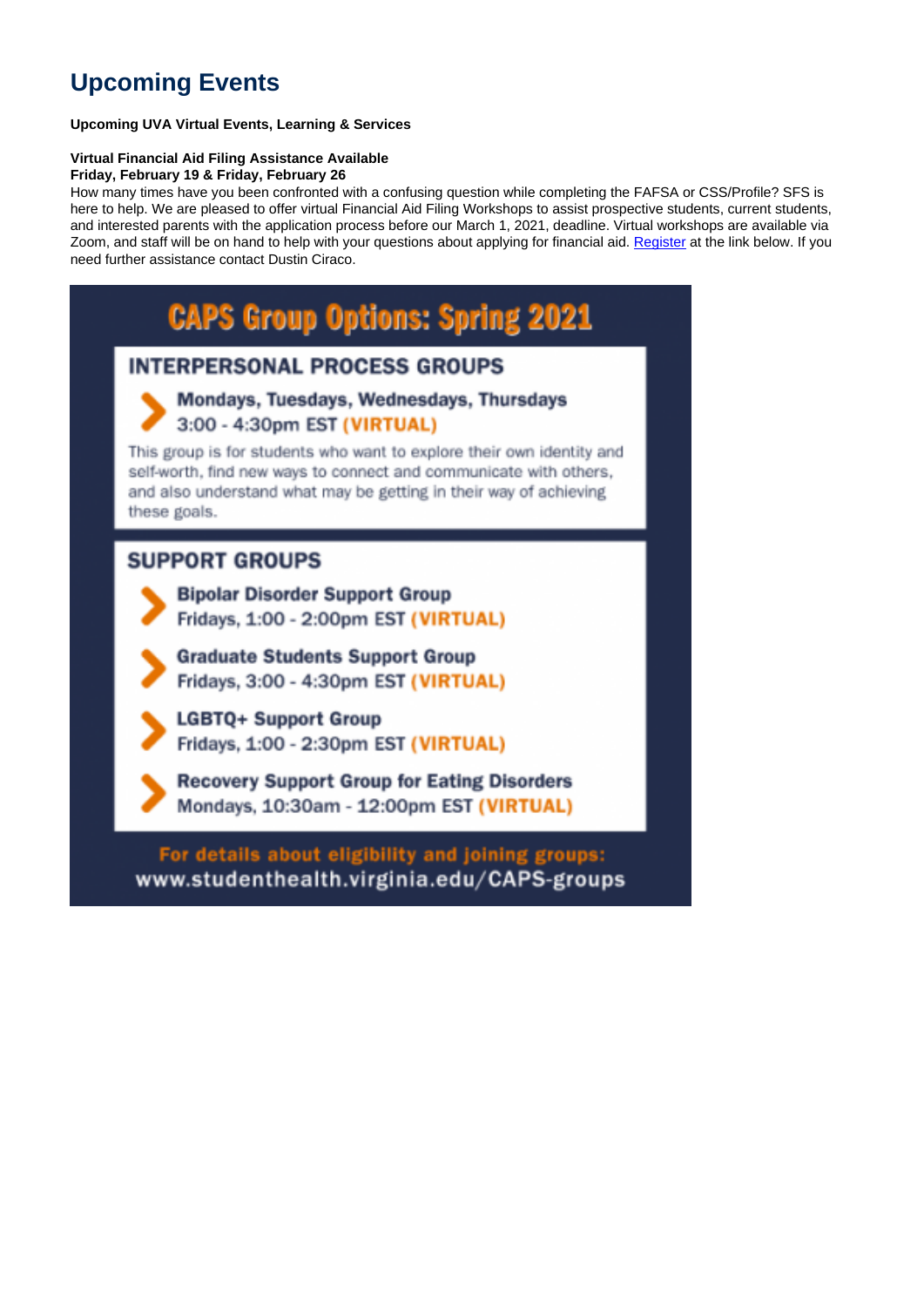# **Upcoming Events**

### **Upcoming UVA Virtual Events, Learning & Services**

### **Virtual Financial Aid Filing Assistance Available**

**Friday, February 19 & Friday, February 26**

How many times have you been confronted with a confusing question while completing the FAFSA or CSS/Profile? SFS is here to help. We are pleased to offer virtual Financial Aid Filing Workshops to assist prospective students, current students, and interested parents with the application process before our March 1, 2021, deadline. Virtual workshops are available via Zoom, and staff will be on hand to help with your questions about applying for financial aid. Register at the link below. If you need further assistance contact Dustin Ciraco.

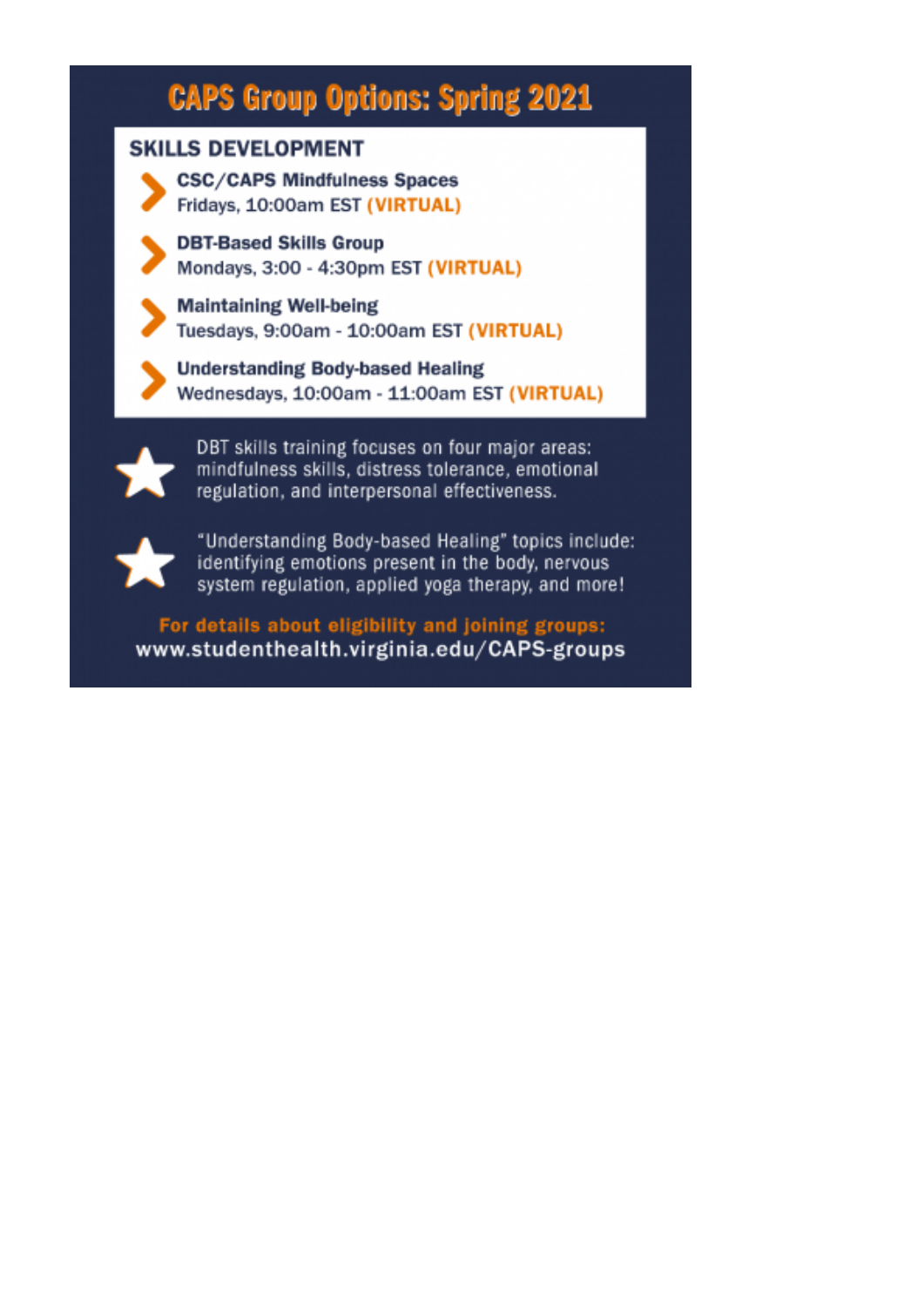# **CAPS Group Options: Spring 2021**

## **SKILLS DEVELOPMENT**

**CSC/CAPS Mindfulness Spaces** Fridays, 10:00am EST (VIRTUAL)

**DBT-Based Skills Group** Mondays, 3:00 - 4:30pm EST (VIRTUAL)

**Maintaining Well-being** Tuesdays, 9:00am - 10:00am EST (VIRTUAL)

**Understanding Body-based Healing** Wednesdays, 10:00am - 11:00am EST (VIRTUAL)

DBT skills training focuses on four major areas: mindfulness skills, distress tolerance, emotional regulation, and interpersonal effectiveness.



"Understanding Body-based Healing" topics include: identifying emotions present in the body, nervous system regulation, applied yoga therapy, and more!

For details about eligibility and joining groups: www.studenthealth.virginia.edu/CAPS-groups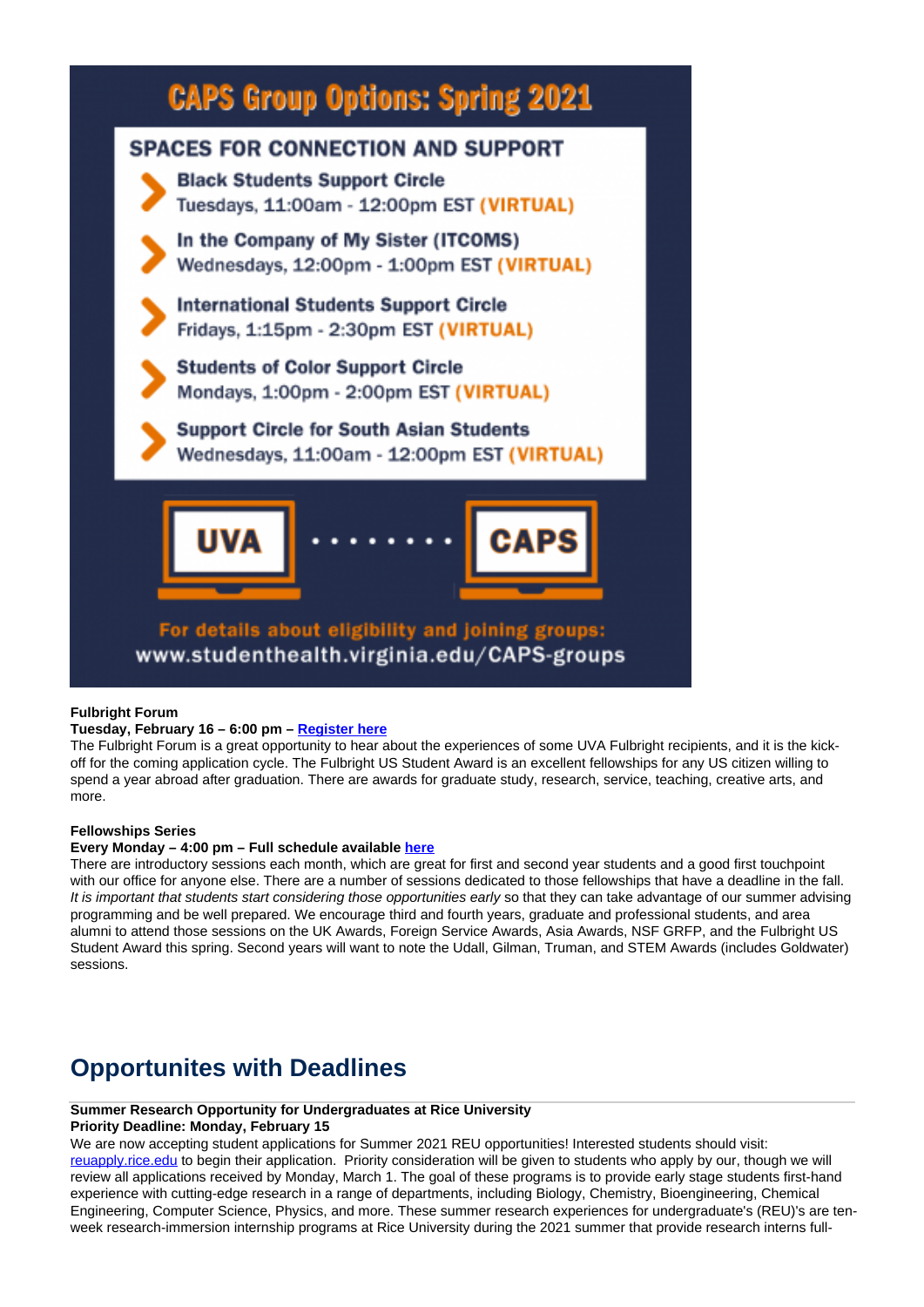

### **Fulbright Forum**

### **Tuesday, February 16 – 6:00 pm – Register here**

The Fulbright Forum is a great opportunity to hear about the experiences of some UVA Fulbright recipients, and it is the kickoff for the coming application cycle. The Fulbright US Student Award is an excellent fellowships for any US citizen willing to spend a year abroad after graduation. There are awards for graduate study, research, service, teaching, creative arts, and more.

#### **Fellowships Series**

#### **Every Monday – 4:00 pm – Full schedule available here**

There are introductory sessions each month, which are great for first and second year students and a good first touchpoint with our office for anyone else. There are a number of sessions dedicated to those fellowships that have a deadline in the fall. It is important that students start considering those opportunities early so that they can take advantage of our summer advising programming and be well prepared. We encourage third and fourth years, graduate and professional students, and area alumni to attend those sessions on the UK Awards, Foreign Service Awards, Asia Awards, NSF GRFP, and the Fulbright US Student Award this spring. Second years will want to note the Udall, Gilman, Truman, and STEM Awards (includes Goldwater) sessions.

# **Opportunites with Deadlines**

### **Summer Research Opportunity for Undergraduates at Rice University**

#### **Priority Deadline: Monday, February 15**

We are now accepting student applications for Summer 2021 REU opportunities! Interested students should visit: reuapply.rice.edu to begin their application. Priority consideration will be given to students who apply by our, though we will review all applications received by Monday, March 1. The goal of these programs is to provide early stage students first-hand experience with cutting-edge research in a range of departments, including Biology, Chemistry, Bioengineering, Chemical Engineering, Computer Science, Physics, and more. These summer research experiences for undergraduate's (REU)'s are tenweek research-immersion internship programs at Rice University during the 2021 summer that provide research interns full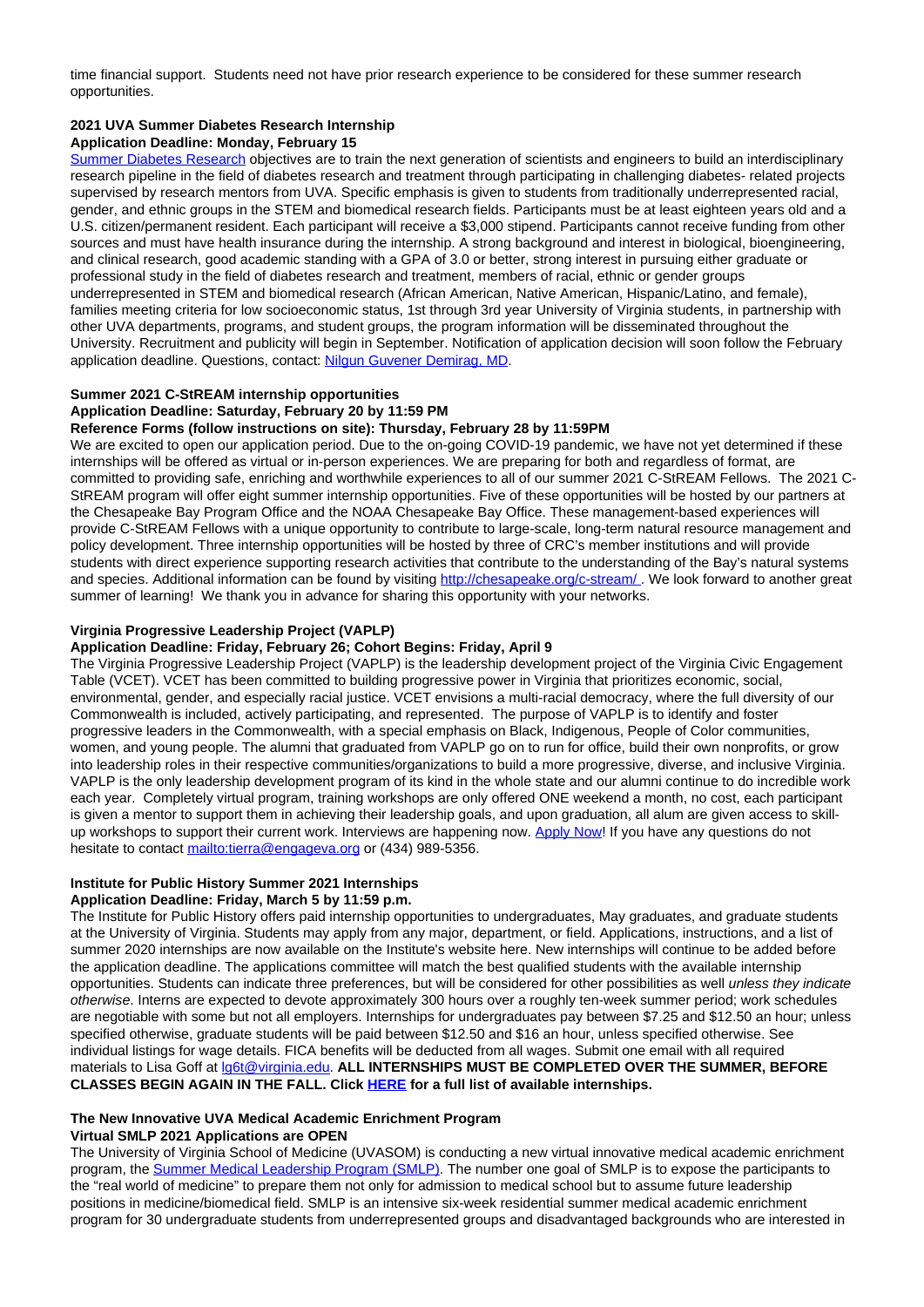time financial support. Students need not have prior research experience to be considered for these summer research opportunities.

### **2021 UVA Summer Diabetes Research Internship**

#### **Application Deadline: Monday, February 15**

Summer Diabetes Research objectives are to train the next generation of scientists and engineers to build an interdisciplinary research pipeline in the field of diabetes research and treatment through participating in challenging diabetes- related projects supervised by research mentors from UVA. Specific emphasis is given to students from traditionally underrepresented racial, gender, and ethnic groups in the STEM and biomedical research fields. Participants must be at least eighteen years old and a U.S. citizen/permanent resident. Each participant will receive a \$3,000 stipend. Participants cannot receive funding from other sources and must have health insurance during the internship. A strong background and interest in biological, bioengineering, and clinical research, good academic standing with a GPA of 3.0 or better, strong interest in pursuing either graduate or professional study in the field of diabetes research and treatment, members of racial, ethnic or gender groups underrepresented in STEM and biomedical research (African American, Native American, Hispanic/Latino, and female), families meeting criteria for low socioeconomic status, 1st through 3rd year University of Virginia students, in partnership with other UVA departments, programs, and student groups, the program information will be disseminated throughout the University. Recruitment and publicity will begin in September. Notification of application decision will soon follow the February application deadline. Questions, contact: Nilgun Guvener Demirag, MD.

### **Summer 2021 C-StREAM internship opportunities**

### **Application Deadline: Saturday, February 20 by 11:59 PM**

### **Reference Forms (follow instructions on site): Thursday, February 28 by 11:59PM**

We are excited to open our application period. Due to the on-going COVID-19 pandemic, we have not yet determined if these internships will be offered as virtual or in-person experiences. We are preparing for both and regardless of format, are committed to providing safe, enriching and worthwhile experiences to all of our summer 2021 C-StREAM Fellows. The 2021 C-StREAM program will offer eight summer internship opportunities. Five of these opportunities will be hosted by our partners at the Chesapeake Bay Program Office and the NOAA Chesapeake Bay Office. These management-based experiences will provide C-StREAM Fellows with a unique opportunity to contribute to large-scale, long-term natural resource management and policy development. Three internship opportunities will be hosted by three of CRC's member institutions and will provide students with direct experience supporting research activities that contribute to the understanding of the Bay's natural systems and species. Additional information can be found by visiting http://chesapeake.org/c-stream/ . We look forward to another great summer of learning! We thank you in advance for sharing this opportunity with your networks.

### **Virginia Progressive Leadership Project (VAPLP)**

### **Application Deadline: Friday, February 26; Cohort Begins: Friday, April 9**

The Virginia Progressive Leadership Project (VAPLP) is the leadership development project of the Virginia Civic Engagement Table (VCET). VCET has been committed to building progressive power in Virginia that prioritizes economic, social, environmental, gender, and especially racial justice. VCET envisions a multi-racial democracy, where the full diversity of our Commonwealth is included, actively participating, and represented. The purpose of VAPLP is to identify and foster progressive leaders in the Commonwealth, with a special emphasis on Black, Indigenous, People of Color communities, women, and young people. The alumni that graduated from VAPLP go on to run for office, build their own nonprofits, or grow into leadership roles in their respective communities/organizations to build a more progressive, diverse, and inclusive Virginia. VAPLP is the only leadership development program of its kind in the whole state and our alumni continue to do incredible work each year. Completely virtual program, training workshops are only offered ONE weekend a month, no cost, each participant is given a mentor to support them in achieving their leadership goals, and upon graduation, all alum are given access to skillup workshops to support their current work. Interviews are happening now. Apply Now! If you have any questions do not hesitate to contact mailto:tierra@engageva.org or (434) 989-5356.

### **Institute for Public History Summer 2021 Internships**

#### **Application Deadline: Friday, March 5 by 11:59 p.m.**

The Institute for Public History offers paid internship opportunities to undergraduates, May graduates, and graduate students at the University of Virginia. Students may apply from any major, department, or field. Applications, instructions, and a list of summer 2020 internships are now available on the Institute's website here. New internships will continue to be added before the application deadline. The applications committee will match the best qualified students with the available internship opportunities. Students can indicate three preferences, but will be considered for other possibilities as well unless they indicate otherwise. Interns are expected to devote approximately 300 hours over a roughly ten-week summer period; work schedules are negotiable with some but not all employers. Internships for undergraduates pay between \$7.25 and \$12.50 an hour; unless specified otherwise, graduate students will be paid between \$12.50 and \$16 an hour, unless specified otherwise. See individual listings for wage details. FICA benefits will be deducted from all wages. Submit one email with all required materials to Lisa Goff at lg6t@virginia.edu. **ALL INTERNSHIPS MUST BE COMPLETED OVER THE SUMMER, BEFORE CLASSES BEGIN AGAIN IN THE FALL. Click HERE for a full list of available internships.** 

### **The New Innovative UVA Medical Academic Enrichment Program**

#### **Virtual SMLP 2021 Applications are OPEN**

The University of Virginia School of Medicine (UVASOM) is conducting a new virtual innovative medical academic enrichment program, the Summer Medical Leadership Program (SMLP). The number one goal of SMLP is to expose the participants to the "real world of medicine" to prepare them not only for admission to medical school but to assume future leadership positions in medicine/biomedical field. SMLP is an intensive six-week residential summer medical academic enrichment program for 30 undergraduate students from underrepresented groups and disadvantaged backgrounds who are interested in